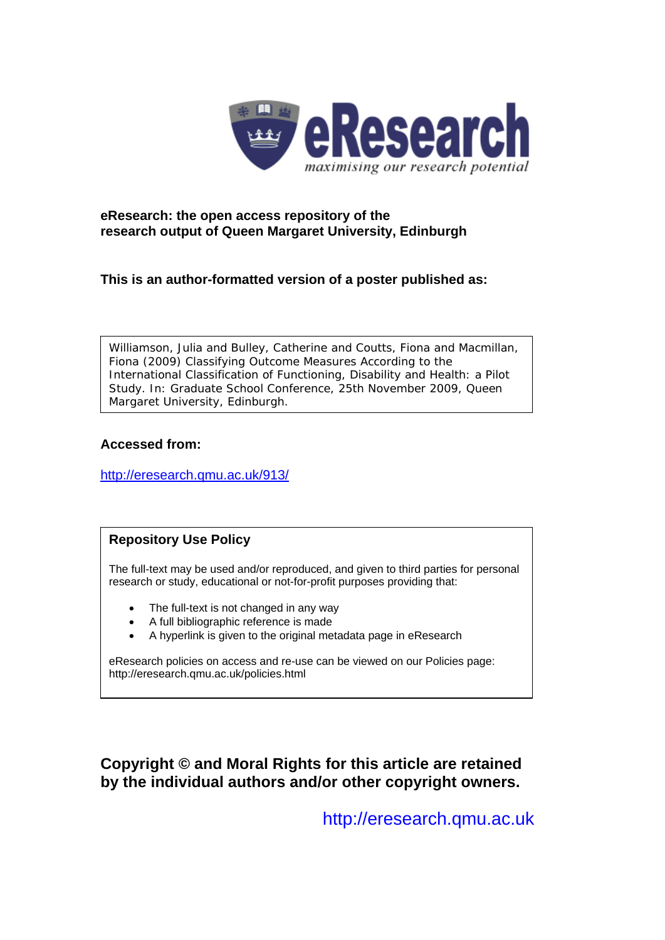

#### **eResearch: the open access repository of the research output of Queen Margaret University, Edinburgh**

**This is an author-formatted version of a poster published as:** 

Williamson, Julia and Bulley, Catherine and Coutts, Fiona and Macmillan, Fiona (2009) *Classifying Outcome Measures According to the International Classification of Functioning, Disability and Health: a Pilot Study.* In: Graduate School Conference, 25th November 2009, Queen Margaret University, Edinburgh.

#### **Accessed from:**

<http://eresearch.qmu.ac.uk/913/>

#### **Repository Use Policy**

The full-text may be used and/or reproduced, and given to third parties for personal research or study, educational or not-for-profit purposes providing that:

- The full-text is not changed in any way
- A full bibliographic reference is made
- A hyperlink is given to the original metadata page in eResearch

eResearch policies on access and re-use can be viewed on our Policies page: <http://eresearch.qmu.ac.uk/policies.html>

**Copyright © and Moral Rights for this article are retained by the individual authors and/or other copyright owners.** 

[http://eresearch.qmu.ac.uk](http://eresearch.qmu.ac.uk/)